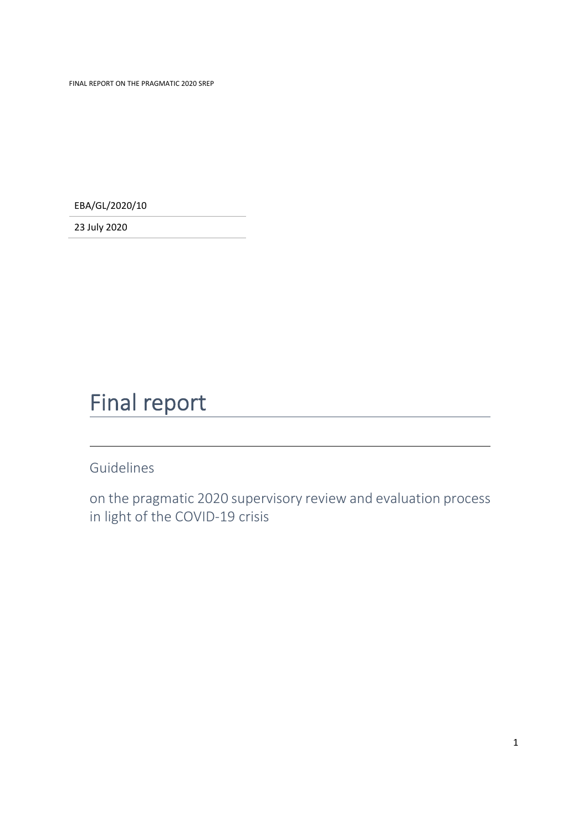FINAL REPORT ON THE PRAGMATIC 2020 SREP

EBA/GL/2020/10

23 July 2020

## Final report

Guidelines

on the pragmatic 2020 supervisory review and evaluation process in light of the COVID‐19 crisis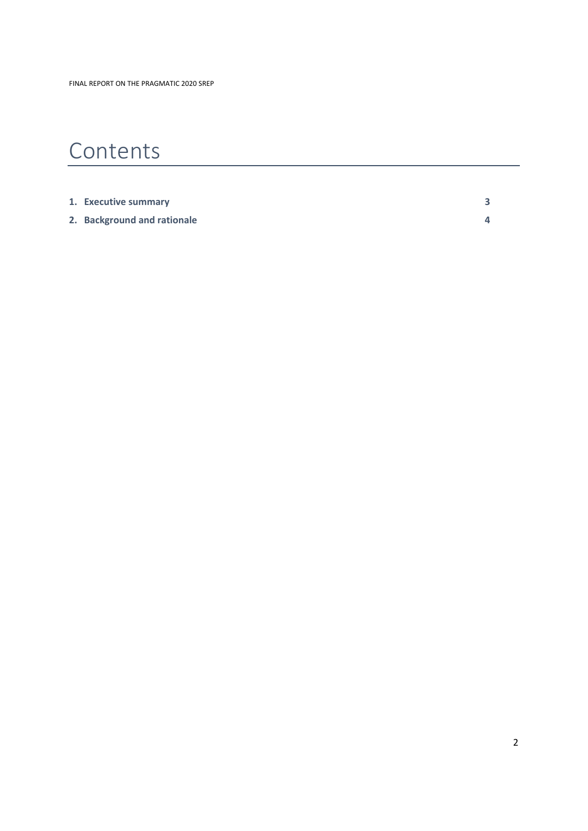# Contents

| 1. Executive summary        |  |
|-----------------------------|--|
| 2. Background and rationale |  |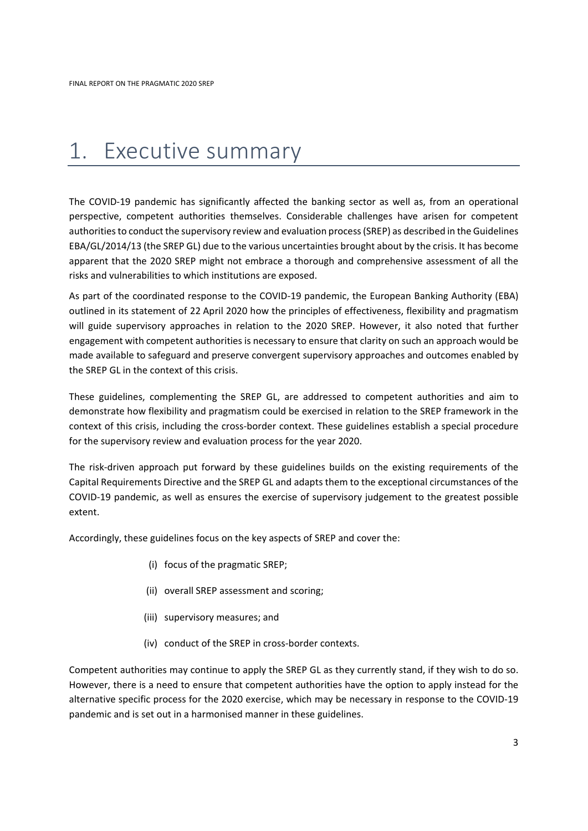## 1. Executive summary

The COVID-19 pandemic has significantly affected the banking sector as well as, from an operational perspective, competent authorities themselves. Considerable challenges have arisen for competent authorities to conduct the supervisory review and evaluation process (SREP) as described in the Guidelines EBA/GL/2014/13 (the SREP GL) due to the various uncertainties brought about by the crisis. It has become apparent that the 2020 SREP might not embrace a thorough and comprehensive assessment of all the risks and vulnerabilities to which institutions are exposed.

As part of the coordinated response to the COVID‐19 pandemic, the European Banking Authority (EBA) outlined in its statement of 22 April 2020 how the principles of effectiveness, flexibility and pragmatism will guide supervisory approaches in relation to the 2020 SREP. However, it also noted that further engagement with competent authorities is necessary to ensure that clarity on such an approach would be made available to safeguard and preserve convergent supervisory approaches and outcomes enabled by the SREP GL in the context of this crisis.

These guidelines, complementing the SREP GL, are addressed to competent authorities and aim to demonstrate how flexibility and pragmatism could be exercised in relation to the SREP framework in the context of this crisis, including the cross-border context. These guidelines establish a special procedure for the supervisory review and evaluation process for the year 2020.

The risk‐driven approach put forward by these guidelines builds on the existing requirements of the Capital Requirements Directive and the SREP GL and adapts them to the exceptional circumstances of the COVID‐19 pandemic, as well as ensures the exercise of supervisory judgement to the greatest possible extent.

Accordingly, these guidelines focus on the key aspects of SREP and cover the:

- (i) focus of the pragmatic SREP;
- (ii) overall SREP assessment and scoring;
- (iii) supervisory measures; and
- (iv) conduct of the SREP in cross‐border contexts.

Competent authorities may continue to apply the SREP GL as they currently stand, if they wish to do so. However, there is a need to ensure that competent authorities have the option to apply instead for the alternative specific process for the 2020 exercise, which may be necessary in response to the COVID‐19 pandemic and is set out in a harmonised manner in these guidelines.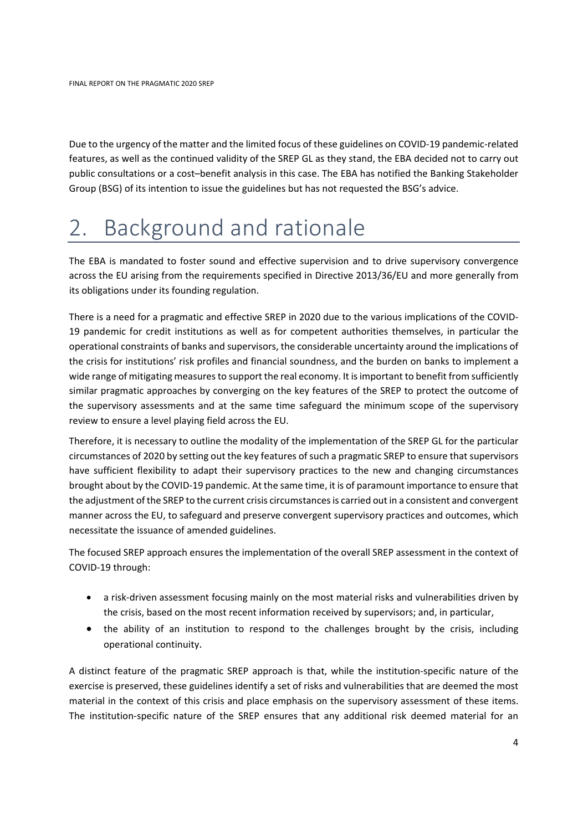Due to the urgency of the matter and the limited focus of these guidelines on COVID‐19 pandemic‐related features, as well as the continued validity of the SREP GL as they stand, the EBA decided not to carry out public consultations or a cost–benefit analysis in this case. The EBA has notified the Banking Stakeholder Group (BSG) of its intention to issue the guidelines but has not requested the BSG's advice.

# 2. Background and rationale

The EBA is mandated to foster sound and effective supervision and to drive supervisory convergence across the EU arising from the requirements specified in Directive 2013/36/EU and more generally from its obligations under its founding regulation.

There is a need for a pragmatic and effective SREP in 2020 due to the various implications of the COVID‐ 19 pandemic for credit institutions as well as for competent authorities themselves, in particular the operational constraints of banks and supervisors, the considerable uncertainty around the implications of the crisis for institutions' risk profiles and financial soundness, and the burden on banks to implement a wide range of mitigating measuresto support the real economy. It isimportant to benefit from sufficiently similar pragmatic approaches by converging on the key features of the SREP to protect the outcome of the supervisory assessments and at the same time safeguard the minimum scope of the supervisory review to ensure a level playing field across the EU.

Therefore, it is necessary to outline the modality of the implementation of the SREP GL for the particular circumstances of 2020 by setting out the key features of such a pragmatic SREP to ensure that supervisors have sufficient flexibility to adapt their supervisory practices to the new and changing circumstances brought about by the COVID‐19 pandemic. At the same time, it is of paramount importance to ensure that the adjustment ofthe SREP to the current crisis circumstancesis carried out in a consistent and convergent manner across the EU, to safeguard and preserve convergent supervisory practices and outcomes, which necessitate the issuance of amended guidelines.

The focused SREP approach ensures the implementation of the overall SREP assessment in the context of COVID‐19 through:

- a risk‐driven assessment focusing mainly on the most material risks and vulnerabilities driven by the crisis, based on the most recent information received by supervisors; and, in particular,
- the ability of an institution to respond to the challenges brought by the crisis, including operational continuity.

A distinct feature of the pragmatic SREP approach is that, while the institution‐specific nature of the exercise is preserved, these guidelines identify a set of risks and vulnerabilities that are deemed the most material in the context of this crisis and place emphasis on the supervisory assessment of these items. The institution‐specific nature of the SREP ensures that any additional risk deemed material for an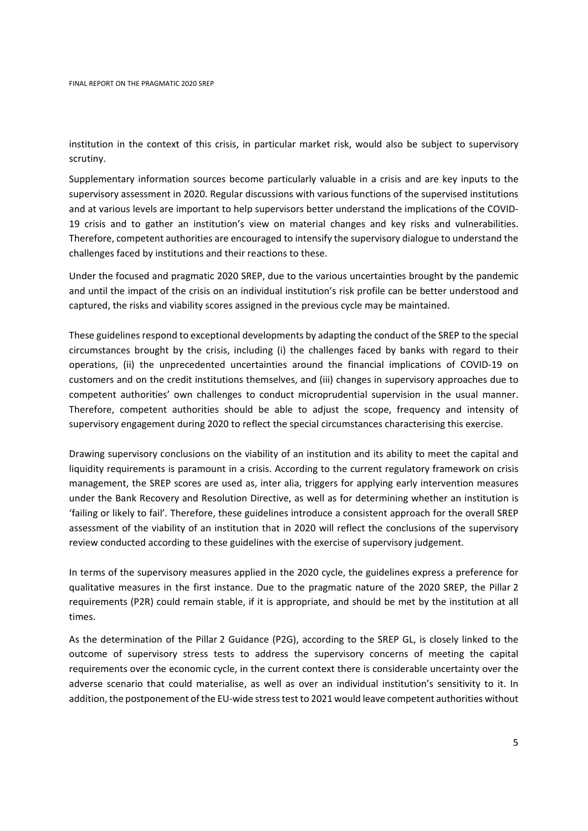institution in the context of this crisis, in particular market risk, would also be subject to supervisory scrutiny.

Supplementary information sources become particularly valuable in a crisis and are key inputs to the supervisory assessment in 2020. Regular discussions with various functions of the supervised institutions and at various levels are important to help supervisors better understand the implications of the COVID‐ 19 crisis and to gather an institution's view on material changes and key risks and vulnerabilities. Therefore, competent authorities are encouraged to intensify the supervisory dialogue to understand the challenges faced by institutions and their reactions to these.

Under the focused and pragmatic 2020 SREP, due to the various uncertainties brought by the pandemic and until the impact of the crisis on an individual institution's risk profile can be better understood and captured, the risks and viability scores assigned in the previous cycle may be maintained.

These guidelines respond to exceptional developments by adapting the conduct of the SREP to the special circumstances brought by the crisis, including (i) the challenges faced by banks with regard to their operations, (ii) the unprecedented uncertainties around the financial implications of COVID‐19 on customers and on the credit institutions themselves, and (iii) changes in supervisory approaches due to competent authorities' own challenges to conduct microprudential supervision in the usual manner. Therefore, competent authorities should be able to adjust the scope, frequency and intensity of supervisory engagement during 2020 to reflect the special circumstances characterising this exercise.

Drawing supervisory conclusions on the viability of an institution and its ability to meet the capital and liquidity requirements is paramount in a crisis. According to the current regulatory framework on crisis management, the SREP scores are used as, inter alia, triggers for applying early intervention measures under the Bank Recovery and Resolution Directive, as well as for determining whether an institution is 'failing or likely to fail'. Therefore, these guidelines introduce a consistent approach for the overall SREP assessment of the viability of an institution that in 2020 will reflect the conclusions of the supervisory review conducted according to these guidelines with the exercise of supervisory judgement.

In terms of the supervisory measures applied in the 2020 cycle, the guidelines express a preference for qualitative measures in the first instance. Due to the pragmatic nature of the 2020 SREP, the Pillar 2 requirements (P2R) could remain stable, if it is appropriate, and should be met by the institution at all times.

As the determination of the Pillar 2 Guidance (P2G), according to the SREP GL, is closely linked to the outcome of supervisory stress tests to address the supervisory concerns of meeting the capital requirements over the economic cycle, in the current context there is considerable uncertainty over the adverse scenario that could materialise, as well as over an individual institution's sensitivity to it. In addition, the postponement of the EU-wide stress test to 2021 would leave competent authorities without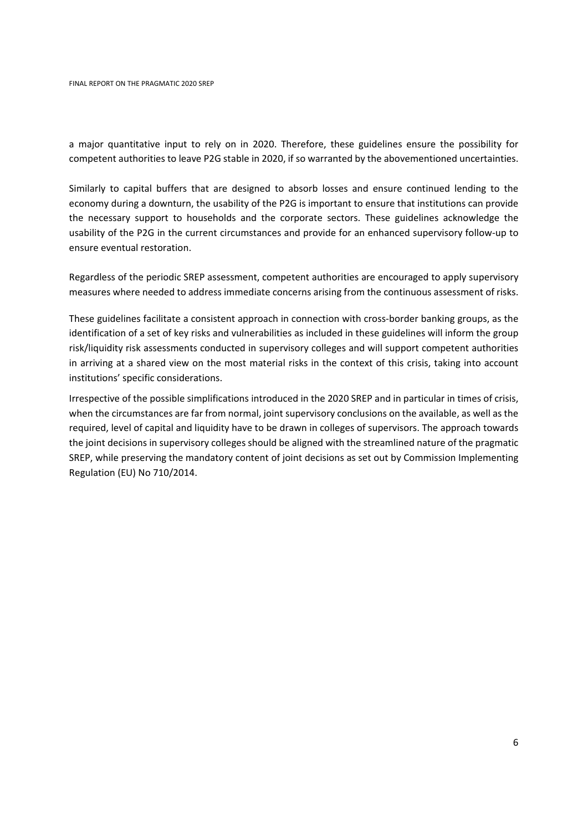a major quantitative input to rely on in 2020. Therefore, these guidelines ensure the possibility for competent authorities to leave P2G stable in 2020, if so warranted by the abovementioned uncertainties.

Similarly to capital buffers that are designed to absorb losses and ensure continued lending to the economy during a downturn, the usability of the P2G is important to ensure that institutions can provide the necessary support to households and the corporate sectors. These guidelines acknowledge the usability of the P2G in the current circumstances and provide for an enhanced supervisory follow‐up to ensure eventual restoration.

Regardless of the periodic SREP assessment, competent authorities are encouraged to apply supervisory measures where needed to address immediate concerns arising from the continuous assessment of risks.

These guidelines facilitate a consistent approach in connection with cross-border banking groups, as the identification of a set of key risks and vulnerabilities as included in these guidelines will inform the group risk/liquidity risk assessments conducted in supervisory colleges and will support competent authorities in arriving at a shared view on the most material risks in the context of this crisis, taking into account institutions' specific considerations.

Irrespective of the possible simplifications introduced in the 2020 SREP and in particular in times of crisis, when the circumstances are far from normal, joint supervisory conclusions on the available, as well as the required, level of capital and liquidity have to be drawn in colleges of supervisors. The approach towards the joint decisions in supervisory colleges should be aligned with the streamlined nature of the pragmatic SREP, while preserving the mandatory content of joint decisions as set out by Commission Implementing Regulation (EU) No 710/2014.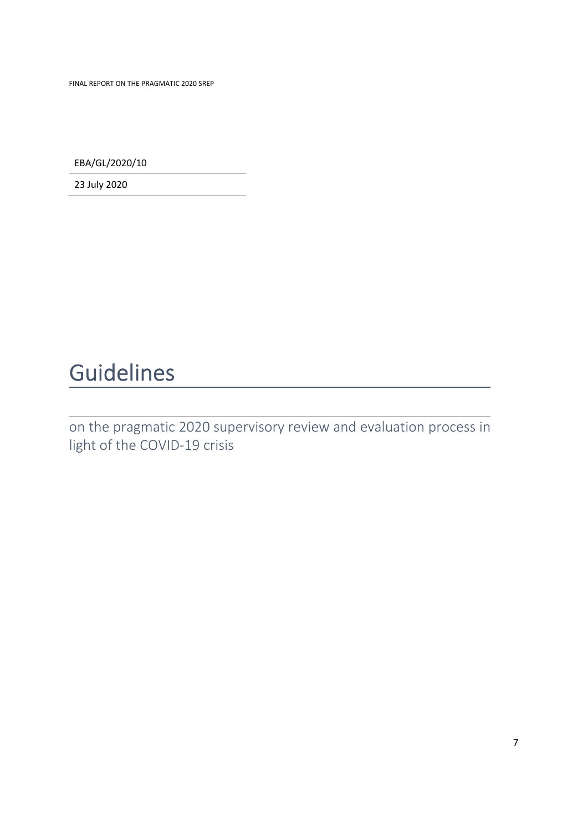FINAL REPORT ON THE PRAGMATIC 2020 SREP

EBA/GL/2020/10

23 July 2020

# Guidelines

on the pragmatic 2020 supervisory review and evaluation process in light of the COVID‐19 crisis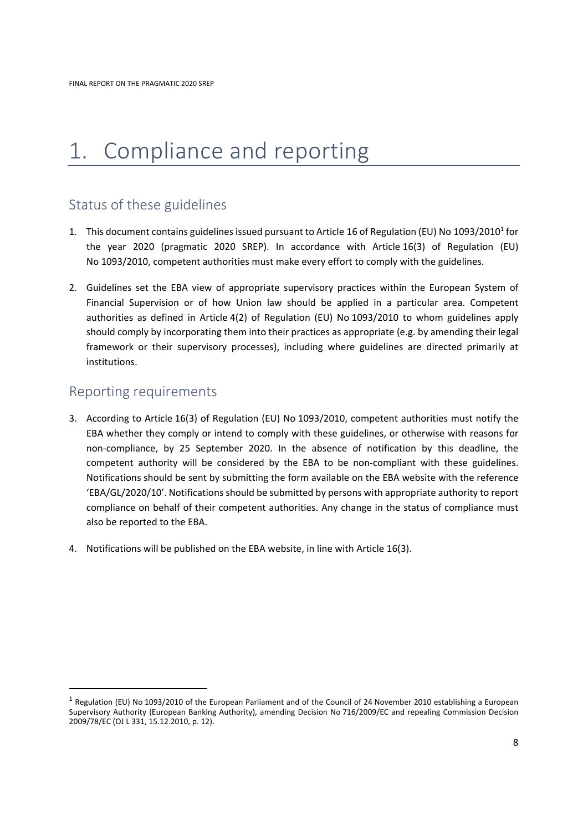## 1. Compliance and reporting

## Status of these guidelines

- 1. This document contains guidelines issued pursuant to Article 16 of Regulation (EU) No 1093/2010<sup>1</sup> for the year 2020 (pragmatic 2020 SREP). In accordance with Article 16(3) of Regulation (EU) No 1093/2010, competent authorities must make every effort to comply with the guidelines.
- 2. Guidelines set the EBA view of appropriate supervisory practices within the European System of Financial Supervision or of how Union law should be applied in a particular area. Competent authorities as defined in Article 4(2) of Regulation (EU) No 1093/2010 to whom guidelines apply should comply by incorporating them into their practices as appropriate (e.g. by amending their legal framework or their supervisory processes), including where guidelines are directed primarily at institutions.

### Reporting requirements

- 3. According to Article 16(3) of Regulation (EU) No 1093/2010, competent authorities must notify the EBA whether they comply or intend to comply with these guidelines, or otherwise with reasons for non‐compliance, by 25 September 2020. In the absence of notification by this deadline, the competent authority will be considered by the EBA to be non-compliant with these guidelines. Notifications should be sent by submitting the form available on the EBA website with the reference 'EBA/GL/2020/10'. Notifications should be submitted by persons with appropriate authority to report compliance on behalf of their competent authorities. Any change in the status of compliance must also be reported to the EBA.
- 4. Notifications will be published on the EBA website, in line with Article 16(3).

 $1$  Regulation (EU) No 1093/2010 of the European Parliament and of the Council of 24 November 2010 establishing a European Supervisory Authority (European Banking Authority), amending Decision No 716/2009/EC and repealing Commission Decision 2009/78/EC (OJ L 331, 15.12.2010, p. 12).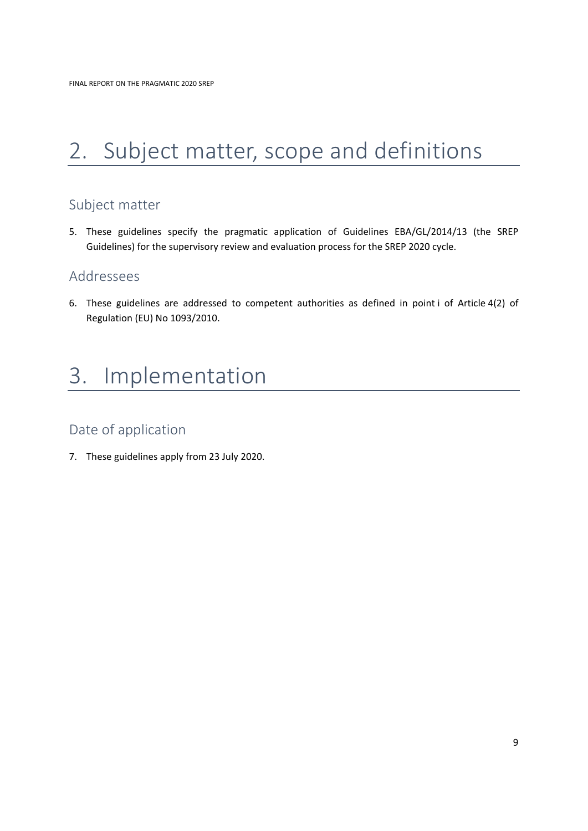# 2. Subject matter, scope and definitions

## Subject matter

5. These guidelines specify the pragmatic application of Guidelines EBA/GL/2014/13 (the SREP Guidelines) for the supervisory review and evaluation process for the SREP 2020 cycle.

### Addressees

6. These guidelines are addressed to competent authorities as defined in point i of Article 4(2) of Regulation (EU) No 1093/2010.

## 3. Implementation

## Date of application

7. These guidelines apply from 23 July 2020.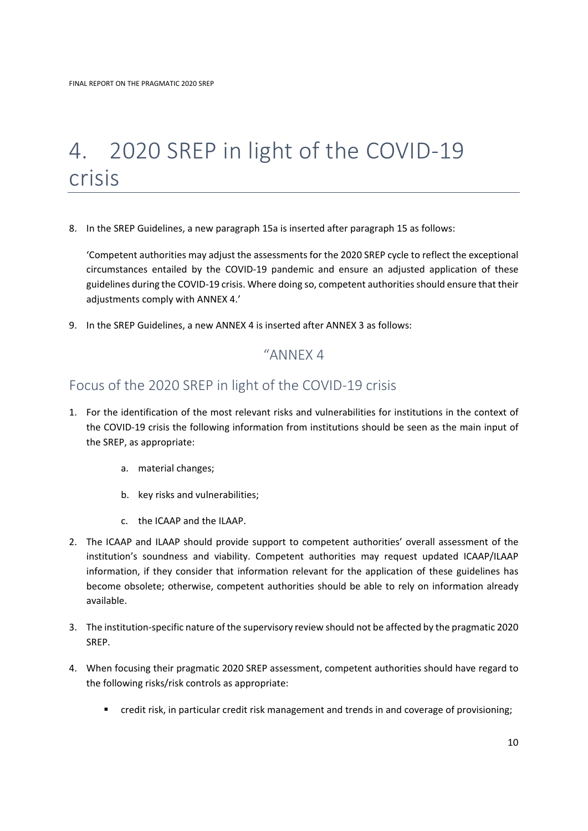## 4. 2020 SREP in light of the COVID‐19 crisis

8. In the SREP Guidelines, a new paragraph 15a is inserted after paragraph 15 as follows:

'Competent authorities may adjust the assessments for the 2020 SREP cycle to reflect the exceptional circumstances entailed by the COVID‐19 pandemic and ensure an adjusted application of these guidelines during the COVID‐19 crisis. Where doing so, competent authoritiesshould ensure that their adjustments comply with ANNEX 4.'

9. In the SREP Guidelines, a new ANNEX 4 is inserted after ANNEX 3 as follows:

### "ANNEX 4

### Focus of the 2020 SREP in light of the COVID‐19 crisis

- 1. For the identification of the most relevant risks and vulnerabilities for institutions in the context of the COVID‐19 crisis the following information from institutions should be seen as the main input of the SREP, as appropriate:
	- a. material changes;
	- b. key risks and vulnerabilities;
	- c. the ICAAP and the ILAAP.
- 2. The ICAAP and ILAAP should provide support to competent authorities' overall assessment of the institution's soundness and viability. Competent authorities may request updated ICAAP/ILAAP information, if they consider that information relevant for the application of these guidelines has become obsolete; otherwise, competent authorities should be able to rely on information already available.
- 3. The institution‐specific nature of the supervisory review should not be affected by the pragmatic 2020 SREP.
- 4. When focusing their pragmatic 2020 SREP assessment, competent authorities should have regard to the following risks/risk controls as appropriate:
	- credit risk, in particular credit risk management and trends in and coverage of provisioning;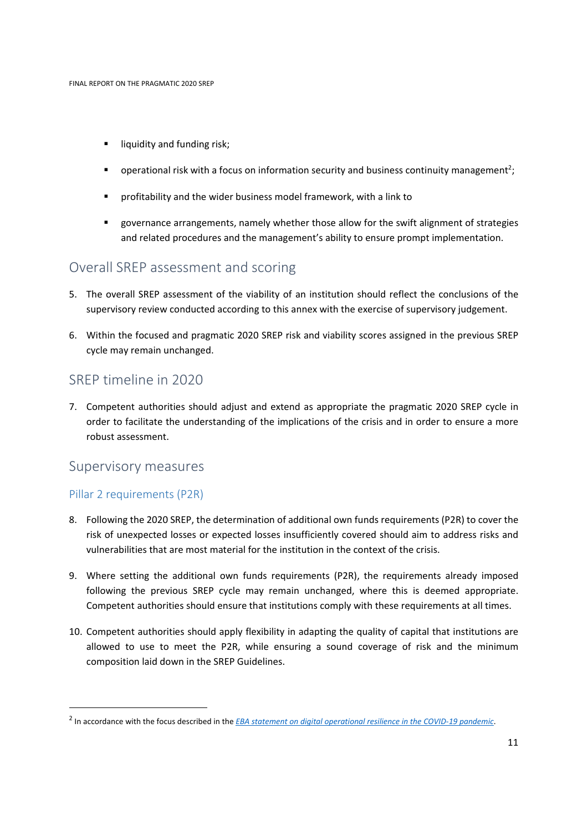- **I** liquidity and funding risk;
- **•** operational risk with a focus on information security and business continuity management<sup>2</sup>;
- profitability and the wider business model framework, with a link to
- governance arrangements, namely whether those allow for the swift alignment of strategies and related procedures and the management's ability to ensure prompt implementation.

### Overall SREP assessment and scoring

- 5. The overall SREP assessment of the viability of an institution should reflect the conclusions of the supervisory review conducted according to this annex with the exercise of supervisory judgement.
- 6. Within the focused and pragmatic 2020 SREP risk and viability scores assigned in the previous SREP cycle may remain unchanged.

### SREP timeline in 2020

7. Competent authorities should adjust and extend as appropriate the pragmatic 2020 SREP cycle in order to facilitate the understanding of the implications of the crisis and in order to ensure a more robust assessment.

### Supervisory measures

#### Pillar 2 requirements (P2R)

- 8. Following the 2020 SREP, the determination of additional own funds requirements (P2R) to cover the risk of unexpected losses or expected losses insufficiently covered should aim to address risks and vulnerabilities that are most material for the institution in the context of the crisis.
- 9. Where setting the additional own funds requirements (P2R), the requirements already imposed following the previous SREP cycle may remain unchanged, where this is deemed appropriate. Competent authorities should ensure that institutions comply with these requirements at all times.
- 10. Competent authorities should apply flexibility in adapting the quality of capital that institutions are allowed to use to meet the P2R, while ensuring a sound coverage of risk and the minimum composition laid down in the SREP Guidelines.

<sup>2</sup> In accordance with the focus described in the *EBA statement on digital operational resilience in the COVID‐19 pandemic*.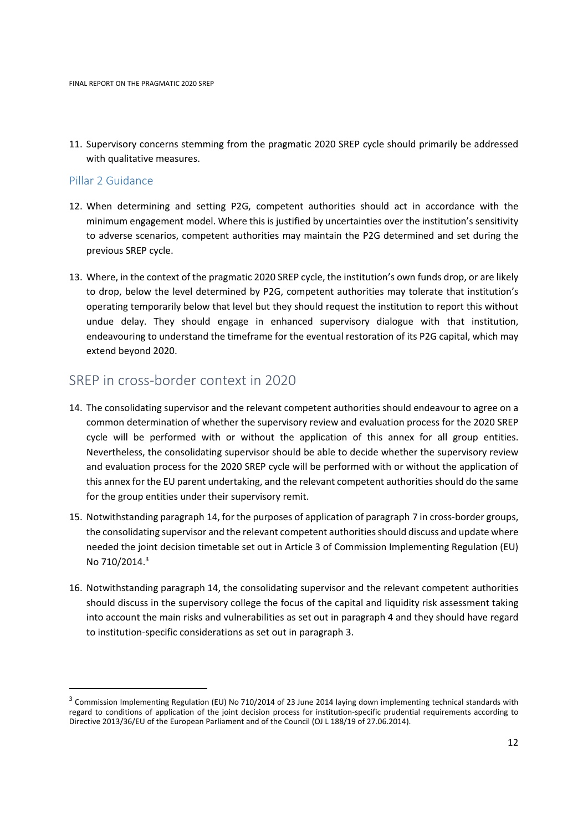11. Supervisory concerns stemming from the pragmatic 2020 SREP cycle should primarily be addressed with qualitative measures.

### Pillar 2 Guidance

- 12. When determining and setting P2G, competent authorities should act in accordance with the minimum engagement model. Where this is justified by uncertainties over the institution's sensitivity to adverse scenarios, competent authorities may maintain the P2G determined and set during the previous SREP cycle.
- 13. Where, in the context of the pragmatic 2020 SREP cycle, the institution's own funds drop, or are likely to drop, below the level determined by P2G, competent authorities may tolerate that institution's operating temporarily below that level but they should request the institution to report this without undue delay. They should engage in enhanced supervisory dialogue with that institution, endeavouring to understand the timeframe for the eventual restoration of its P2G capital, which may extend beyond 2020.

### SREP in cross‐border context in 2020

- 14. The consolidating supervisor and the relevant competent authorities should endeavour to agree on a common determination of whether the supervisory review and evaluation process for the 2020 SREP cycle will be performed with or without the application of this annex for all group entities. Nevertheless, the consolidating supervisor should be able to decide whether the supervisory review and evaluation process for the 2020 SREP cycle will be performed with or without the application of this annex for the EU parent undertaking, and the relevant competent authorities should do the same for the group entities under their supervisory remit.
- 15. Notwithstanding paragraph 14, for the purposes of application of paragraph 7 in cross‐border groups, the consolidating supervisor and the relevant competent authorities should discuss and update where needed the joint decision timetable set out in Article 3 of Commission Implementing Regulation (EU) No 710/2014.3
- 16. Notwithstanding paragraph 14, the consolidating supervisor and the relevant competent authorities should discuss in the supervisory college the focus of the capital and liquidity risk assessment taking into account the main risks and vulnerabilities as set out in paragraph 4 and they should have regard to institution‐specific considerations as set out in paragraph 3.

<sup>&</sup>lt;sup>3</sup> Commission Implementing Regulation (EU) No 710/2014 of 23 June 2014 laying down implementing technical standards with regard to conditions of application of the joint decision process for institution‐specific prudential requirements according to Directive 2013/36/EU of the European Parliament and of the Council (OJ L 188/19 of 27.06.2014).